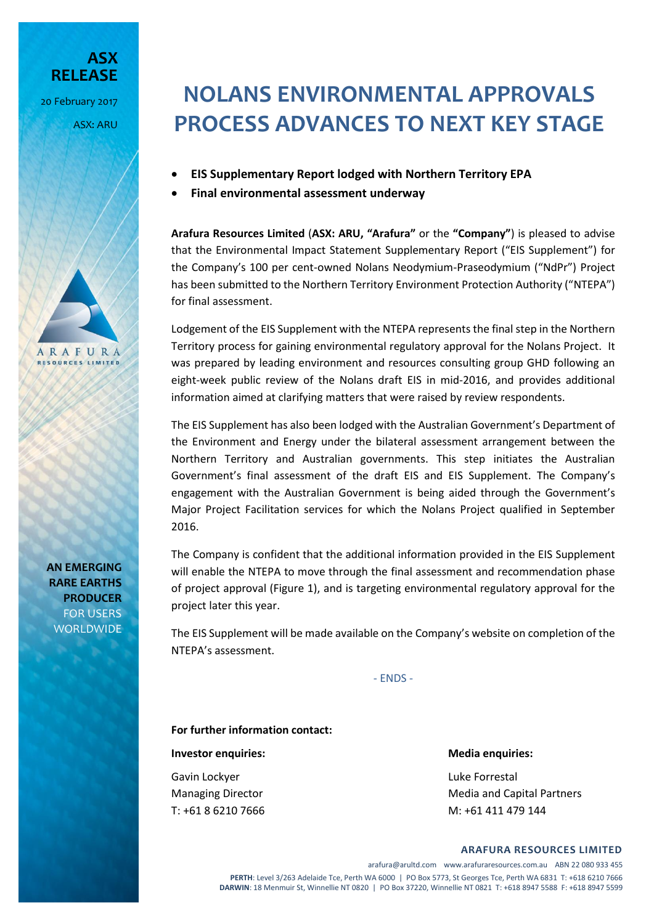**RELEASE**

20 February 2017

ARAFURA **RESOURCES LIMITED** 

ASX: ARU

**ASX** 

## **NOLANS ENVIRONMENTAL APPROVALS PROCESS ADVANCES TO NEXT KEY STAGE**

- **EIS Supplementary Report lodged with Northern Territory EPA**
- **Final environmental assessment underway**

**Arafura Resources Limited** (**ASX: ARU, "Arafura"** or the **"Company"**) is pleased to advise that the Environmental Impact Statement Supplementary Report ("EIS Supplement") for the Company's 100 per cent-owned Nolans Neodymium-Praseodymium ("NdPr") Project has been submitted to the Northern Territory Environment Protection Authority ("NTEPA") for final assessment.

Lodgement of the EIS Supplement with the NTEPA represents the final step in the Northern Territory process for gaining environmental regulatory approval for the Nolans Project. It was prepared by leading environment and resources consulting group GHD following an eight-week public review of the Nolans draft EIS in mid-2016, and provides additional information aimed at clarifying matters that were raised by review respondents.

The EIS Supplement has also been lodged with the Australian Government's Department of the Environment and Energy under the bilateral assessment arrangement between the Northern Territory and Australian governments. This step initiates the Australian Government's final assessment of the draft EIS and EIS Supplement. The Company's engagement with the Australian Government is being aided through the Government's Major Project Facilitation services for which the Nolans Project qualified in September 2016.

The Company is confident that the additional information provided in the EIS Supplement will enable the NTEPA to move through the final assessment and recommendation phase of project approval (Figure 1), and is targeting environmental regulatory approval for the project later this year.

The EIS Supplement will be made available on the Company's website on completion of the NTEPA's assessment.

- ENDS -

**For further information contact:**

**Investor enquiries:** Media enquiries:

Gavin Lockyer **Luke Forrestal** 

Managing Director **Media and Capital Partners** Media and Capital Partners T: +61 8 6210 7666 M: +61 411 479 144

**AN EMERGING RARE EARTHS PRODUCER** FOR USERS WORLDWIDE